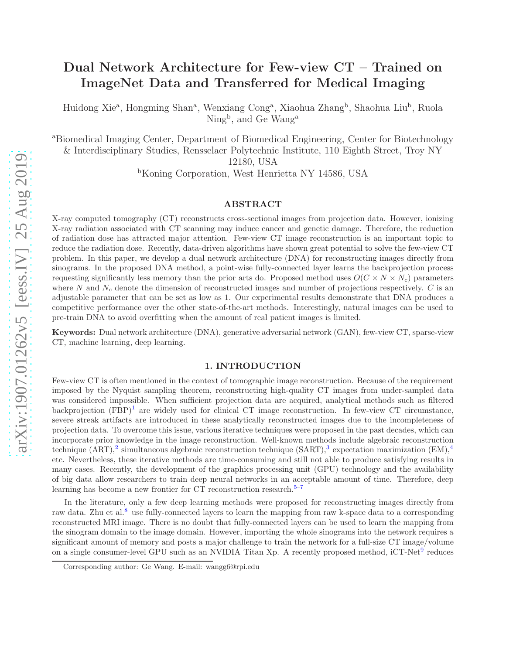# Dual Network Architecture for Few-view CT – Trained on ImageNet Data and Transferred for Medical Imaging

Huidong Xie<sup>a</sup>, Hongming Shan<sup>a</sup>, Wenxiang Cong<sup>a</sup>, Xiaohua Zhang<sup>b</sup>, Shaohua Liu<sup>b</sup>, Ruola Ning<sup>b</sup>, and Ge Wang<sup>a</sup>

<sup>a</sup>Biomedical Imaging Center, Department of Biomedical Engineering, Center for Biotechnology

& Interdisciplinary Studies, Rensselaer Polytechnic Institute, 110 Eighth Street, Troy NY

12180, USA

<sup>b</sup>Koning Corporation, West Henrietta NY 14586, USA

# ABSTRACT

X-ray computed tomography (CT) reconstructs cross-sectional images from projection data. However, ionizing X-ray radiation associated with CT scanning may induce cancer and genetic damage. Therefore, the reduction of radiation dose has attracted major attention. Few-view CT image reconstruction is an important topic to reduce the radiation dose. Recently, data-driven algorithms have shown great potential to solve the few-view CT problem. In this paper, we develop a dual network architecture (DNA) for reconstructing images directly from sinograms. In the proposed DNA method, a point-wise fully-connected layer learns the backprojection process requesting significantly less memory than the prior arts do. Proposed method uses  $O(C \times N \times N_c)$  parameters where N and  $N_c$  denote the dimension of reconstructed images and number of projections respectively. C is an adjustable parameter that can be set as low as 1. Our experimental results demonstrate that DNA produces a competitive performance over the other state-of-the-art methods. Interestingly, natural images can be used to pre-train DNA to avoid overfitting when the amount of real patient images is limited.

Keywords: Dual network architecture (DNA), generative adversarial network (GAN), few-view CT, sparse-view CT, machine learning, deep learning.

## 1. INTRODUCTION

Few-view CT is often mentioned in the context of tomographic image reconstruction. Because of the requirement imposed by the Nyquist sampling theorem, reconstructing high-quality CT images from under-sampled data was considered impossible. When sufficient projection data are acquired, analytical methods such as filtered backprojection  $(FBP)^1$  $(FBP)^1$  are widely used for clinical CT image reconstruction. In few-view CT circumstance, severe streak artifacts are introduced in these analytically reconstructed images due to the incompleteness of projection data. To overcome this issue, various iterative techniques were proposed in the past decades, which can incorporate prior knowledge in the image reconstruction. Well-known methods include algebraic reconstruction technique (ART),<sup>[2](#page-8-1)</sup> simultaneous algebraic reconstruction technique (SART),<sup>[3](#page-8-2)</sup> expectation maximization (EM),<sup>[4](#page-8-3)</sup> etc. Nevertheless, these iterative methods are time-consuming and still not able to produce satisfying results in many cases. Recently, the development of the graphics processing unit (GPU) technology and the availability of big data allow researchers to train deep neural networks in an acceptable amount of time. Therefore, deep learning has become a new frontier for  $CT$  reconstruction research.<sup>[5](#page-8-4)[–7](#page-8-5)</sup>

In the literature, only a few deep learning methods were proposed for reconstructing images directly from raw data. Zhu et al.<sup>[8](#page-9-0)</sup> use fully-connected layers to learn the mapping from raw k-space data to a corresponding reconstructed MRI image. There is no doubt that fully-connected layers can be used to learn the mapping from the sinogram domain to the image domain. However, importing the whole sinograms into the network requires a significant amount of memory and posts a major challenge to train the network for a full-size CT image/volume on a single consumer-level GPU such as an NVIDIA Titan Xp. A recently proposed method, iCT-Net<sup>[9](#page-9-1)</sup> reduces

Corresponding author: Ge Wang. E-mail: wangg6@rpi.edu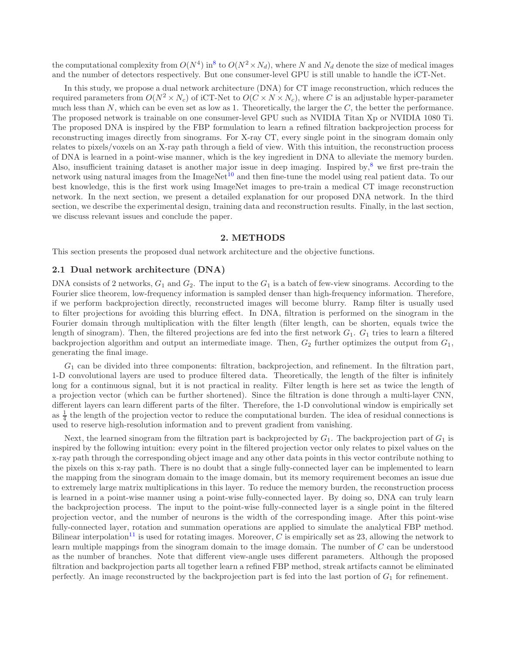the computational complexity from  $O(N^4)$  in<sup>[8](#page-9-0)</sup> to  $O(N^2 \times N_d)$ , where N and  $N_d$  denote the size of medical images and the number of detectors respectively. But one consumer-level GPU is still unable to handle the iCT-Net.

In this study, we propose a dual network architecture (DNA) for CT image reconstruction, which reduces the required parameters from  $O(N^2 \times N_c)$  of iCT-Net to  $O(C \times N \times N_c)$ , where C is an adjustable hyper-parameter much less than  $N$ , which can be even set as low as 1. Theoretically, the larger the  $C$ , the better the performance. The proposed network is trainable on one consumer-level GPU such as NVIDIA Titan Xp or NVIDIA 1080 Ti. The proposed DNA is inspired by the FBP formulation to learn a refined filtration backprojection process for reconstructing images directly from sinograms. For X-ray CT, every single point in the sinogram domain only relates to pixels/voxels on an X-ray path through a field of view. With this intuition, the reconstruction process of DNA is learned in a point-wise manner, which is the key ingredient in DNA to alleviate the memory burden. Also, insufficient training dataset is another major issue in deep imaging. Inspired by,<sup>[8](#page-9-0)</sup> we first pre-train the network using natural images from the ImageNet<sup>[10](#page-9-2)</sup> and then fine-tune the model using real patient data. To our best knowledge, this is the first work using ImageNet images to pre-train a medical CT image reconstruction network. In the next section, we present a detailed explanation for our proposed DNA network. In the third section, we describe the experimental design, training data and reconstruction results. Finally, in the last section, we discuss relevant issues and conclude the paper.

### 2. METHODS

<span id="page-1-0"></span>This section presents the proposed dual network architecture and the objective functions.

#### 2.1 Dual network architecture (DNA)

DNA consists of 2 networks,  $G_1$  and  $G_2$ . The input to the  $G_1$  is a batch of few-view sinograms. According to the Fourier slice theorem, low-frequency information is sampled denser than high-frequency information. Therefore, if we perform backprojection directly, reconstructed images will become blurry. Ramp filter is usually used to filter projections for avoiding this blurring effect. In DNA, filtration is performed on the sinogram in the Fourier domain through multiplication with the filter length (filter length, can be shorten, equals twice the length of sinogram). Then, the filtered projections are fed into the first network  $G_1$ .  $G_1$  tries to learn a filtered backprojection algorithm and output an intermediate image. Then,  $G_2$  further optimizes the output from  $G_1$ , generating the final image.

 $G_1$  can be divided into three components: filtration, backprojection, and refinement. In the filtration part, 1-D convolutional layers are used to produce filtered data. Theoretically, the length of the filter is infinitely long for a continuous signal, but it is not practical in reality. Filter length is here set as twice the length of a projection vector (which can be further shortened). Since the filtration is done through a multi-layer CNN, different layers can learn different parts of the filter. Therefore, the 1-D convolutional window is empirically set as  $\frac{1}{4}$  the length of the projection vector to reduce the computational burden. The idea of residual connections is used to reserve high-resolution information and to prevent gradient from vanishing.

Next, the learned sinogram from the filtration part is backprojected by  $G_1$ . The backprojection part of  $G_1$  is inspired by the following intuition: every point in the filtered projection vector only relates to pixel values on the x-ray path through the corresponding object image and any other data points in this vector contribute nothing to the pixels on this x-ray path. There is no doubt that a single fully-connected layer can be implemented to learn the mapping from the sinogram domain to the image domain, but its memory requirement becomes an issue due to extremely large matrix multiplications in this layer. To reduce the memory burden, the reconstruction process is learned in a point-wise manner using a point-wise fully-connected layer. By doing so, DNA can truly learn the backprojection process. The input to the point-wise fully-connected layer is a single point in the filtered projection vector, and the number of neurons is the width of the corresponding image. After this point-wise fully-connected layer, rotation and summation operations are applied to simulate the analytical FBP method. Bilinear interpolation<sup>[11](#page-9-3)</sup> is used for rotating images. Moreover,  $C$  is empirically set as 23, allowing the network to learn multiple mappings from the sinogram domain to the image domain. The number of C can be understood as the number of branches. Note that different view-angle uses different parameters. Although the proposed filtration and backprojection parts all together learn a refined FBP method, streak artifacts cannot be eliminated perfectly. An image reconstructed by the backprojection part is fed into the last portion of  $G_1$  for refinement.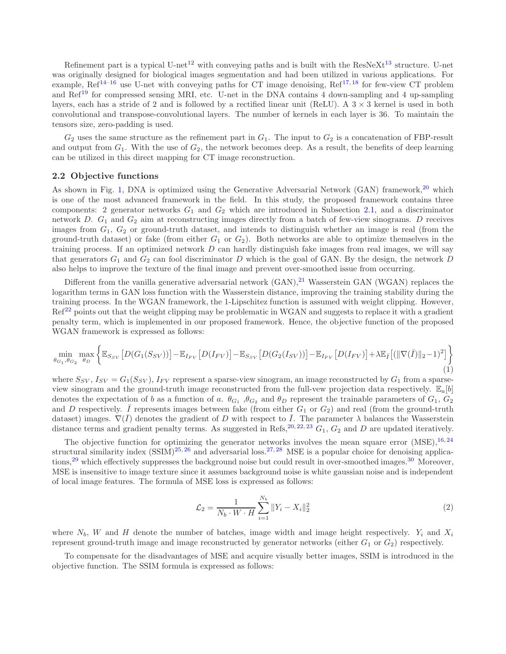Refinement part is a typical U-net<sup>[12](#page-9-4)</sup> with conveying paths and is built with the ResNeXt<sup>[13](#page-9-5)</sup> structure. U-net was originally designed for biological images segmentation and had been utilized in various applications. For example,  $\text{Ref}^{14-16}$  $\text{Ref}^{14-16}$  $\text{Ref}^{14-16}$  use U-net with conveying paths for CT image denoising,  $\text{Ref}^{17,18}$  $\text{Ref}^{17,18}$  $\text{Ref}^{17,18}$  $\text{Ref}^{17,18}$  for few-view CT problem and Ref<sup>[19](#page-9-10)</sup> for compressed sensing MRI, etc. U-net in the DNA contains 4 down-sampling and 4 up-sampling layers, each has a stride of 2 and is followed by a rectified linear unit (ReLU). A  $3 \times 3$  kernel is used in both convolutional and transpose-convolutional layers. The number of kernels in each layer is 36. To maintain the tensors size, zero-padding is used.

 $G_2$  uses the same structure as the refinement part in  $G_1$ . The input to  $G_2$  is a concatenation of FBP-result and output from  $G_1$ . With the use of  $G_2$ , the network becomes deep. As a result, the benefits of deep learning can be utilized in this direct mapping for CT image reconstruction.

#### 2.2 Objective functions

As shown in Fig. [1,](#page-4-0) DNA is optimized using the Generative Adversarial Network (GAN) framework,<sup>[20](#page-9-11)</sup> which is one of the most advanced framework in the field. In this study, the proposed framework contains three components: 2 generator networks  $G_1$  and  $G_2$  which are introduced in Subsection [2.1,](#page-1-0) and a discriminator network D.  $G_1$  and  $G_2$  aim at reconstructing images directly from a batch of few-view sinograms. D receives images from  $G_1$ ,  $G_2$  or ground-truth dataset, and intends to distinguish whether an image is real (from the ground-truth dataset) or fake (from either  $G_1$  or  $G_2$ ). Both networks are able to optimize themselves in the training process. If an optimized network  $D$  can hardly distinguish fake images from real images, we will say that generators  $G_1$  and  $G_2$  can fool discriminator D which is the goal of GAN. By the design, the network D also helps to improve the texture of the final image and prevent over-smoothed issue from occurring.

Different from the vanilla generative adversarial network  $(GAN)<sup>21</sup>$  $(GAN)<sup>21</sup>$  $(GAN)<sup>21</sup>$  Wasserstein GAN (WGAN) replaces the logarithm terms in GAN loss function with the Wasserstein distance, improving the training stability during the training process. In the WGAN framework, the 1-Lipschitez function is assumed with weight clipping. However,  $Ref<sup>22</sup>$  $Ref<sup>22</sup>$  $Ref<sup>22</sup>$  points out that the weight clipping may be problematic in WGAN and suggests to replace it with a gradient penalty term, which is implemented in our proposed framework. Hence, the objective function of the proposed WGAN framework is expressed as follows:

<span id="page-2-0"></span>
$$
\min_{\theta_{G_1}, \theta_{G_2}} \max_{\theta_D} \left\{ \mathbb{E}_{S_{SV}} \left[ D(G_1(S_{SV})) \right] - \mathbb{E}_{I_{FV}} \left[ D(I_{FV}) \right] - \mathbb{E}_{S_{SV}} \left[ D(G_2(I_{SV})) \right] - \mathbb{E}_{I_{FV}} \left[ D(I_{FV}) \right] + \lambda \mathbb{E}_{\bar{I}} \left[ \left( \|\nabla(\bar{I})\|_2 - 1 \right)^2 \right] \right\} \tag{1}
$$

where  $S_{SV}$ ,  $I_{SV} = G_1(S_{SV})$ ,  $I_{FV}$  represent a sparse-view sinogram, an image reconstructed by  $G_1$  from a sparseview sinogram and the ground-truth image reconstructed from the full-vew projection data respectively.  $\mathbb{E}_a[b]$ denotes the expectation of b as a function of a.  $\theta_{G_1}$ ,  $\theta_{G_2}$  and  $\theta_D$  represent the trainable parameters of  $G_1$ ,  $G_2$ and D respectively.  $\bar{I}$  represents images between fake (from either  $G_1$  or  $G_2$ ) and real (from the ground-truth dataset) images.  $\nabla(\bar{I})$  denotes the gradient of D with respect to  $\bar{I}$ . The parameter  $\lambda$  balances the Wasserstein distance terms and gradient penalty terms. As suggested in Refs,  $^{20, 22, 23}$  $^{20, 22, 23}$  $^{20, 22, 23}$  $^{20, 22, 23}$  $^{20, 22, 23}$  $^{20, 22, 23}$  $^{20, 22, 23}$   $G_1$ ,  $G_2$  and D are updated iteratively.

The objective function for optimizing the generator networks involves the mean square error  $(MSE)$ , <sup>[16,](#page-9-7) [24](#page-10-0)</sup> structural similarity index  $(SSIM)^{25,26}$  $(SSIM)^{25,26}$  $(SSIM)^{25,26}$  $(SSIM)^{25,26}$  and adversarial loss.<sup>[27,](#page-10-3) [28](#page-10-4)</sup> MSE is a popular choice for denoising applica-tions,<sup>[29](#page-10-5)</sup> which effectively suppresses the background noise but could result in over-smoothed images.<sup>[30](#page-10-6)</sup> Moreover, MSE is insensitive to image texture since it assumes background noise is white gaussian noise and is independent of local image features. The formula of MSE loss is expressed as follows:

$$
\mathcal{L}_2 = \frac{1}{N_b \cdot W \cdot H} \sum_{i=1}^{N_b} \|Y_i - X_i\|_2^2 \tag{2}
$$

where  $N_b$ , W and H denote the number of batches, image width and image height respectively.  $Y_i$  and  $X_i$ represent ground-truth image and image reconstructed by generator networks (either  $G_1$  or  $G_2$ ) respectively.

To compensate for the disadvantages of MSE and acquire visually better images, SSIM is introduced in the objective function. The SSIM formula is expressed as follows: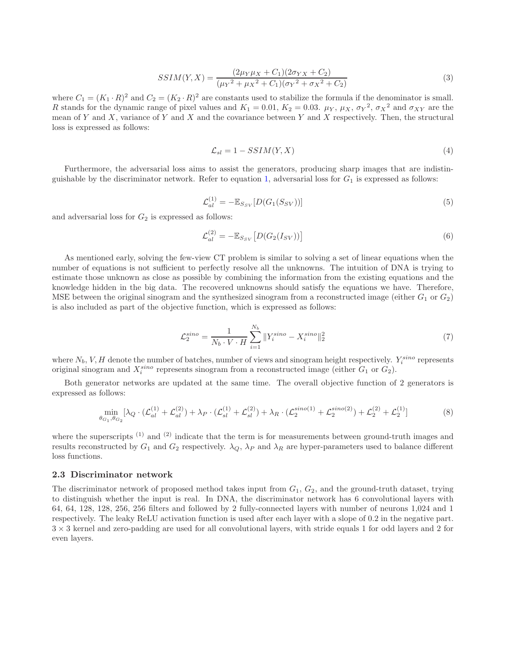$$
SSIM(Y, X) = \frac{(2\mu_Y \mu_X + C_1)(2\sigma_{YX} + C_2)}{(\mu_Y^2 + \mu_X^2 + C_1)(\sigma_Y^2 + \sigma_X^2 + C_2)}
$$
(3)

where  $C_1 = (K_1 \cdot R)^2$  and  $C_2 = (K_2 \cdot R)^2$  are constants used to stabilize the formula if the denominator is small. R stands for the dynamic range of pixel values and  $K_1 = 0.01$ ,  $K_2 = 0.03$ .  $\mu_Y$ ,  $\mu_X$ ,  $\sigma_Y^2$ ,  $\sigma_X^2$  and  $\sigma_{XY}$  are the mean of Y and X, variance of Y and X and the covariance between Y and X respectively. Then, the structural loss is expressed as follows:

$$
\mathcal{L}_{sl} = 1 - SSIM(Y, X) \tag{4}
$$

Furthermore, the adversarial loss aims to assist the generators, producing sharp images that are indistin-guishable by the discriminator network. Refer to equation [1,](#page-2-0) adversarial loss for  $G_1$  is expressed as follows:

$$
\mathcal{L}_{al}^{(1)} = -\mathbb{E}_{S_{SV}}[D(G_1(S_{SV}))]
$$
\n(5)

and adversarial loss for  $G_2$  is expressed as follows:

$$
\mathcal{L}_{al}^{(2)} = -\mathbb{E}_{S_{SV}}\left[D(G_2(I_{SV}))\right]
$$
\n
$$
(6)
$$

As mentioned early, solving the few-view CT problem is similar to solving a set of linear equations when the number of equations is not sufficient to perfectly resolve all the unknowns. The intuition of DNA is trying to estimate those unknown as close as possible by combining the information from the existing equations and the knowledge hidden in the big data. The recovered unknowns should satisfy the equations we have. Therefore, MSE between the original sinogram and the synthesized sinogram from a reconstructed image (either  $G_1$  or  $G_2$ ) is also included as part of the objective function, which is expressed as follows:

$$
\mathcal{L}_2^{\text{sino}} = \frac{1}{N_b \cdot V \cdot H} \sum_{i=1}^{N_b} \| Y_i^{\text{sino}} - X_i^{\text{sino}} \|_2^2 \tag{7}
$$

where  $N_b$ , V, H denote the number of batches, number of views and sinogram height respectively.  $Y_i^{sino}$  represents original sinogram and  $X_i^{sino}$  represents sinogram from a reconstructed image (either  $G_1$  or  $G_2$ ).

Both generator networks are updated at the same time. The overall objective function of 2 generators is expressed as follows:

$$
\min_{\theta_{G_1}, \theta_{G_2}} [\lambda_Q \cdot (\mathcal{L}_{al}^{(1)} + \mathcal{L}_{al}^{(2)}) + \lambda_P \cdot (\mathcal{L}_{sl}^{(1)} + \mathcal{L}_{sl}^{(2)}) + \lambda_R \cdot (\mathcal{L}_2^{\text{sino}(1)} + \mathcal{L}_2^{\text{sino}(2)}) + \mathcal{L}_2^{(2)} + \mathcal{L}_2^{(1)}] \tag{8}
$$

where the superscripts  $(1)$  and  $(2)$  indicate that the term is for measurements between ground-truth images and results reconstructed by  $G_1$  and  $G_2$  respectively.  $\lambda_Q$ ,  $\lambda_P$  and  $\lambda_R$  are hyper-parameters used to balance different loss functions.

#### 2.3 Discriminator network

The discriminator network of proposed method takes input from  $G_1$ ,  $G_2$ , and the ground-truth dataset, trying to distinguish whether the input is real. In DNA, the discriminator network has 6 convolutional layers with 64, 64, 128, 128, 256, 256 filters and followed by 2 fully-connected layers with number of neurons 1,024 and 1 respectively. The leaky ReLU activation function is used after each layer with a slope of 0.2 in the negative part.  $3 \times 3$  kernel and zero-padding are used for all convolutional layers, with stride equals 1 for odd layers and 2 for even layers.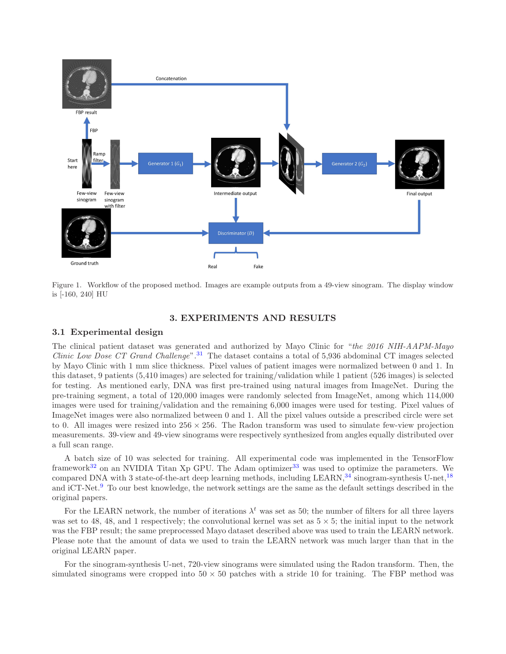

<span id="page-4-0"></span>Figure 1. Workflow of the proposed method. Images are example outputs from a 49-view sinogram. The display window is [-160, 240] HU

# 3. EXPERIMENTS AND RESULTS

# 3.1 Experimental design

The clinical patient dataset was generated and authorized by Mayo Clinic for "*the 2016 NIH-AAPM-Mayo Clinic Low Dose CT Grand Challenge*".[31](#page-10-7) The dataset contains a total of 5,936 abdominal CT images selected by Mayo Clinic with 1 mm slice thickness. Pixel values of patient images were normalized between 0 and 1. In this dataset, 9 patients (5,410 images) are selected for training/validation while 1 patient (526 images) is selected for testing. As mentioned early, DNA was first pre-trained using natural images from ImageNet. During the pre-training segment, a total of 120,000 images were randomly selected from ImageNet, among which 114,000 images were used for training/validation and the remaining 6,000 images were used for testing. Pixel values of ImageNet images were also normalized between 0 and 1. All the pixel values outside a prescribed circle were set to 0. All images were resized into  $256 \times 256$ . The Radon transform was used to simulate few-view projection measurements. 39-view and 49-view sinograms were respectively synthesized from angles equally distributed over a full scan range.

A batch size of 10 was selected for training. All experimental code was implemented in the TensorFlow framework<sup>[32](#page-10-8)</sup> on an NVIDIA Titan Xp GPU. The Adam optimizer<sup>[33](#page-10-9)</sup> was used to optimize the parameters. We compared DNA with 3 state-of-the-art deep learning methods, including LEARN,<sup>[34](#page-10-10)</sup> sinogram-synthesis U-net,<sup>[18](#page-9-9)</sup> and iCT-Net.<sup>[9](#page-9-1)</sup> To our best knowledge, the network settings are the same as the default settings described in the original papers.

For the LEARN network, the number of iterations  $\lambda^t$  was set as 50; the number of filters for all three layers was set to 48, 48, and 1 respectively; the convolutional kernel was set as  $5 \times 5$ ; the initial input to the network was the FBP result; the same preprocessed Mayo dataset described above was used to train the LEARN network. Please note that the amount of data we used to train the LEARN network was much larger than that in the original LEARN paper.

For the sinogram-synthesis U-net, 720-view sinograms were simulated using the Radon transform. Then, the simulated sinograms were cropped into  $50 \times 50$  patches with a stride 10 for training. The FBP method was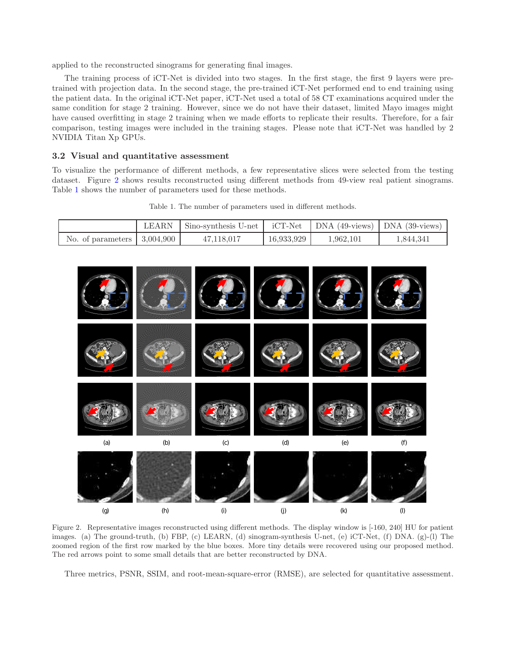applied to the reconstructed sinograms for generating final images.

The training process of iCT-Net is divided into two stages. In the first stage, the first 9 layers were pretrained with projection data. In the second stage, the pre-trained iCT-Net performed end to end training using the patient data. In the original iCT-Net paper, iCT-Net used a total of 58 CT examinations acquired under the same condition for stage 2 training. However, since we do not have their dataset, limited Mayo images might have caused overfitting in stage 2 training when we made efforts to replicate their results. Therefore, for a fair comparison, testing images were included in the training stages. Please note that iCT-Net was handled by 2 NVIDIA Titan Xp GPUs.

#### 3.2 Visual and quantitative assessment

To visualize the performance of different methods, a few representative slices were selected from the testing dataset. Figure [2](#page-5-0) shows results reconstructed using different methods from 49-view real patient sinograms. Table [1](#page-5-1) shows the number of parameters used for these methods.

|                                           | <b>LEARN</b> | Sino-synthesis U-net   iCT-Net   DNA (49-views)   DNA (39-views) |            |           |           |
|-------------------------------------------|--------------|------------------------------------------------------------------|------------|-----------|-----------|
| No. of parameters $\vert 3.004.900 \vert$ |              | 47,118,017                                                       | 16.933.929 | 1,962,101 | 1,844,341 |

<span id="page-5-1"></span>Table 1. The number of parameters used in different methods.



<span id="page-5-0"></span>Figure 2. Representative images reconstructed using different methods. The display window is [-160, 240] HU for patient images. (a) The ground-truth, (b) FBP, (c) LEARN, (d) sinogram-synthesis U-net, (e) iCT-Net, (f) DNA. (g)-(l) The zoomed region of the first row marked by the blue boxes. More tiny details were recovered using our proposed method. The red arrows point to some small details that are better reconstructed by DNA.

Three metrics, PSNR, SSIM, and root-mean-square-error (RMSE), are selected for quantitative assessment.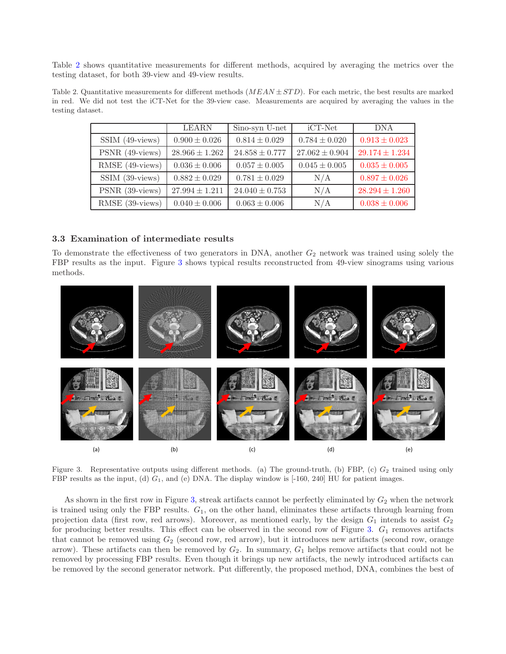Table [2](#page-6-0) shows quantitative measurements for different methods, acquired by averaging the metrics over the testing dataset, for both 39-view and 49-view results.

Table 2. Quantitative measurements for different methods  $(MEAN \pm STD)$ . For each metric, the best results are marked in red. We did not test the iCT-Net for the 39-view case. Measurements are acquired by averaging the values in the testing dataset.

<span id="page-6-0"></span>

|                 | <b>LEARN</b>       | Sino-syn U-net     | iCT-Net            | <b>DNA</b>         |
|-----------------|--------------------|--------------------|--------------------|--------------------|
| SSIM (49-views) | $0.900 \pm 0.026$  | $0.814 \pm 0.029$  | $0.784 \pm 0.020$  | $0.913 \pm 0.023$  |
| PSNR (49-views) | $28.966 \pm 1.262$ | $24.858 \pm 0.777$ | $27.062 \pm 0.904$ | $29.174 \pm 1.234$ |
| RMSE (49-views) | $0.036 \pm 0.006$  | $0.057 \pm 0.005$  | $0.045 \pm 0.005$  | $0.035 \pm 0.005$  |
| SSIM (39-views) | $0.882 \pm 0.029$  | $0.781 \pm 0.029$  | N/A                | $0.897 \pm 0.026$  |
| PSNR (39-views) | $27.994 \pm 1.211$ | $24.040 \pm 0.753$ | N/A                | $28.294 \pm 1.260$ |
| RMSE (39-views) | $0.040 \pm 0.006$  | $0.063 \pm 0.006$  | N/A                | $0.038 \pm 0.006$  |

## 3.3 Examination of intermediate results

To demonstrate the effectiveness of two generators in DNA, another  $G_2$  network was trained using solely the FBP results as the input. Figure [3](#page-6-1) shows typical results reconstructed from 49-view sinograms using various methods.



<span id="page-6-1"></span>Figure 3. Representative outputs using different methods. (a) The ground-truth, (b) FBP, (c)  $G_2$  trained using only FBP results as the input, (d)  $G_1$ , and (e) DNA. The display window is [-160, 240] HU for patient images.

As shown in the first row in Figure [3,](#page-6-1) streak artifacts cannot be perfectly eliminated by  $G_2$  when the network is trained using only the FBP results.  $G_1$ , on the other hand, eliminates these artifacts through learning from projection data (first row, red arrows). Moreover, as mentioned early, by the design  $G_1$  intends to assist  $G_2$ for producing better results. This effect can be observed in the second row of Figure [3.](#page-6-1)  $G_1$  removes artifacts that cannot be removed using  $G_2$  (second row, red arrow), but it introduces new artifacts (second row, orange arrow). These artifacts can then be removed by  $G_2$ . In summary,  $G_1$  helps remove artifacts that could not be removed by processing FBP results. Even though it brings up new artifacts, the newly introduced artifacts can be removed by the second generator network. Put differently, the proposed method, DNA, combines the best of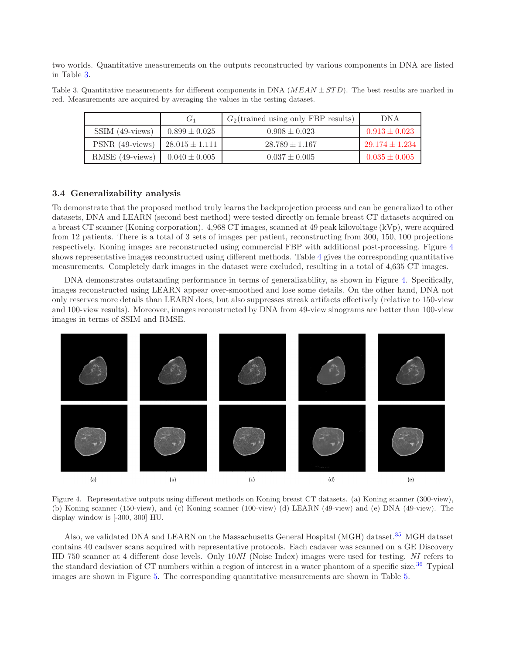two worlds. Quantitative measurements on the outputs reconstructed by various components in DNA are listed in Table [3.](#page-7-0)

Table 3. Quantitative measurements for different components in DNA  $(MEAN \pm STD)$ . The best results are marked in red. Measurements are acquired by averaging the values in the testing dataset.

<span id="page-7-0"></span>

|                                      | G <sub>1</sub>    | $G_2$ (trained using only FBP results) | DN A               |
|--------------------------------------|-------------------|----------------------------------------|--------------------|
| $SSIM$ (49-views)                    | $0.899 \pm 0.025$ | $0.908 \pm 0.023$                      | $0.913 \pm 0.023$  |
| PSNR (49-views)   $28.015 \pm 1.111$ |                   | $28.789 \pm 1.167$                     | $29.174 \pm 1.234$ |
| RMSE (49-views) $0.040 \pm 0.005$    |                   | $0.037 \pm 0.005$                      | $0.035 \pm 0.005$  |

#### 3.4 Generalizability analysis

To demonstrate that the proposed method truly learns the backprojection process and can be generalized to other datasets, DNA and LEARN (second best method) were tested directly on female breast CT datasets acquired on a breast CT scanner (Koning corporation). 4,968 CT images, scanned at 49 peak kilovoltage (kVp), were acquired from 12 patients. There is a total of 3 sets of images per patient, reconstructing from 300, 150, 100 projections respectively. Koning images are reconstructed using commercial FBP with additional post-processing. Figure [4](#page-7-1) shows representative images reconstructed using different methods. Table [4](#page-8-6) gives the corresponding quantitative measurements. Completely dark images in the dataset were excluded, resulting in a total of 4,635 CT images.

DNA demonstrates outstanding performance in terms of generalizability, as shown in Figure [4.](#page-7-1) Specifically, images reconstructed using LEARN appear over-smoothed and lose some details. On the other hand, DNA not only reserves more details than LEARN does, but also suppresses streak artifacts effectively (relative to 150-view and 100-view results). Moreover, images reconstructed by DNA from 49-view sinograms are better than 100-view images in terms of SSIM and RMSE.



<span id="page-7-1"></span>Figure 4. Representative outputs using different methods on Koning breast CT datasets. (a) Koning scanner (300-view), (b) Koning scanner (150-view), and (c) Koning scanner (100-view) (d) LEARN (49-view) and (e) DNA (49-view). The display window is [-300, 300] HU.

Also, we validated DNA and LEARN on the Massachusetts General Hospital (MGH) dataset.<sup>[35](#page-10-11)</sup> MGH dataset contains 40 cadaver scans acquired with representative protocols. Each cadaver was scanned on a GE Discovery HD 750 scanner at 4 different dose levels. Only 10*NI* (Noise Index) images were used for testing. *NI* refers to the standard deviation of CT numbers within a region of interest in a water phantom of a specific size.<sup>[36](#page-10-12)</sup> Typical images are shown in Figure [5.](#page-8-7) The corresponding quantitative measurements are shown in Table [5.](#page-9-15)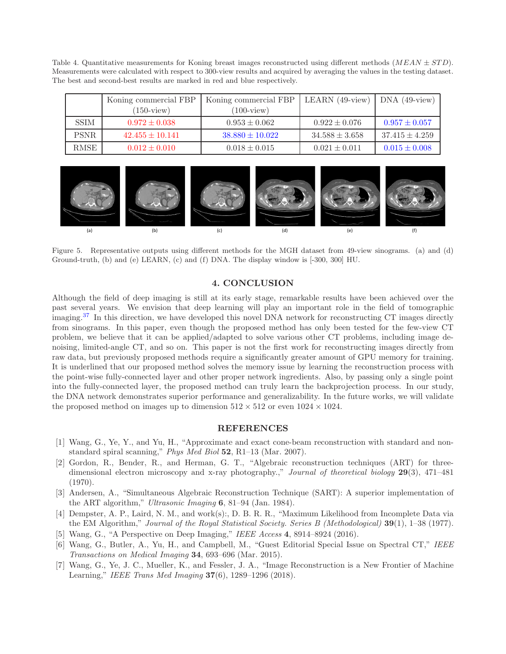<span id="page-8-6"></span>Table 4. Quantitative measurements for Koning breast images reconstructed using different methods  $(MEAN \pm STD)$ . Measurements were calculated with respect to 300-view results and acquired by averaging the values in the testing dataset. The best and second-best results are marked in red and blue respectively.

|             | Koning commercial FBP | Koning commercial FBP | LEARN (49-view)    | DNA $(49$ -view)   |
|-------------|-----------------------|-----------------------|--------------------|--------------------|
|             | $(150\text{-view})$   | $(100\text{-view})$   |                    |                    |
| <b>SSIM</b> | $0.972 \pm 0.038$     | $0.953 \pm 0.062$     | $0.922 \pm 0.076$  | $0.957 \pm 0.057$  |
| <b>PSNR</b> | $42.455 \pm 10.141$   | $38.880 \pm 10.022$   | $34.588 \pm 3.658$ | $37.415 \pm 4.259$ |
| RMSE        | $0.012 \pm 0.010$     | $0.018 \pm 0.015$     | $0.021 \pm 0.011$  | $0.015 \pm 0.008$  |



<span id="page-8-7"></span>Figure 5. Representative outputs using different methods for the MGH dataset from 49-view sinograms. (a) and (d) Ground-truth, (b) and (e) LEARN, (c) and (f) DNA. The display window is [-300, 300] HU.

#### 4. CONCLUSION

Although the field of deep imaging is still at its early stage, remarkable results have been achieved over the past several years. We envision that deep learning will play an important role in the field of tomographic imaging.<sup>[37](#page-10-13)</sup> In this direction, we have developed this novel DNA network for reconstructing CT images directly from sinograms. In this paper, even though the proposed method has only been tested for the few-view CT problem, we believe that it can be applied/adapted to solve various other CT problems, including image denoising, limited-angle CT, and so on. This paper is not the first work for reconstructing images directly from raw data, but previously proposed methods require a significantly greater amount of GPU memory for training. It is underlined that our proposed method solves the memory issue by learning the reconstruction process with the point-wise fully-connected layer and other proper network ingredients. Also, by passing only a single point into the fully-connected layer, the proposed method can truly learn the backprojection process. In our study, the DNA network demonstrates superior performance and generalizability. In the future works, we will validate the proposed method on images up to dimension  $512 \times 512$  or even  $1024 \times 1024$ .

# REFERENCES

- <span id="page-8-0"></span>[1] Wang, G., Ye, Y., and Yu, H., "Approximate and exact cone-beam reconstruction with standard and nonstandard spiral scanning," *Phys Med Biol* 52, R1–13 (Mar. 2007).
- <span id="page-8-1"></span>[2] Gordon, R., Bender, R., and Herman, G. T., "Algebraic reconstruction techniques (ART) for threedimensional electron microscopy and x-ray photography.," *Journal of theoretical biology* 29(3), 471–481 (1970).
- <span id="page-8-2"></span>[3] Andersen, A., "Simultaneous Algebraic Reconstruction Technique (SART): A superior implementation of the ART algorithm," *Ultrasonic Imaging* 6, 81–94 (Jan. 1984).
- <span id="page-8-3"></span>[4] Dempster, A. P., Laird, N. M., and work(s):, D. B. R. R., "Maximum Likelihood from Incomplete Data via the EM Algorithm," *Journal of the Royal Statistical Society. Series B (Methodological)* 39(1), 1–38 (1977).
- <span id="page-8-4"></span>[5] Wang, G., "A Perspective on Deep Imaging," *IEEE Access* 4, 8914–8924 (2016).
- [6] Wang, G., Butler, A., Yu, H., and Campbell, M., "Guest Editorial Special Issue on Spectral CT," *IEEE Transactions on Medical Imaging* 34, 693–696 (Mar. 2015).
- <span id="page-8-5"></span>[7] Wang, G., Ye, J. C., Mueller, K., and Fessler, J. A., "Image Reconstruction is a New Frontier of Machine Learning," *IEEE Trans Med Imaging* 37(6), 1289–1296 (2018).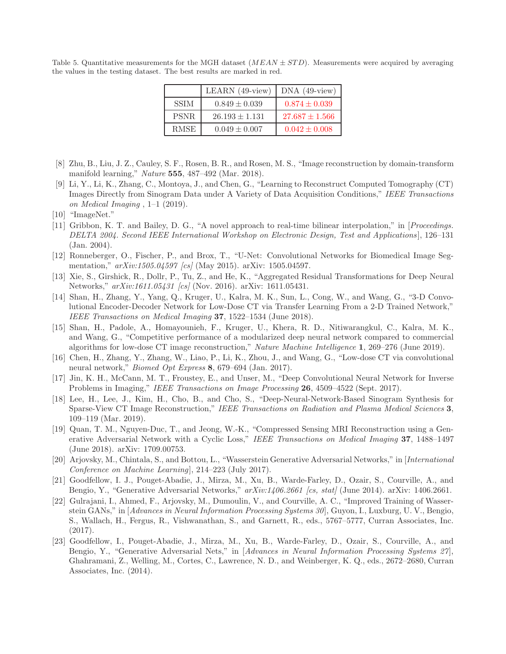<span id="page-9-15"></span>Table 5. Quantitative measurements for the MGH dataset  $(MEAN \pm STD)$ . Measurements were acquired by averaging the values in the testing dataset. The best results are marked in red.

|             | LEARN $(49$ -view) | $DNA(49-view)$     |
|-------------|--------------------|--------------------|
| <b>SSIM</b> | $0.849 \pm 0.039$  | $0.874 \pm 0.039$  |
| <b>PSNR</b> | $26.193 \pm 1.131$ | $27.687 \pm 1.566$ |
| <b>RMSE</b> | $0.049 \pm 0.007$  | $0.042 \pm 0.008$  |

- <span id="page-9-0"></span>[8] Zhu, B., Liu, J. Z., Cauley, S. F., Rosen, B. R., and Rosen, M. S., "Image reconstruction by domain-transform manifold learning," *Nature* 555, 487–492 (Mar. 2018).
- <span id="page-9-1"></span>[9] Li, Y., Li, K., Zhang, C., Montoya, J., and Chen, G., "Learning to Reconstruct Computed Tomography (CT) Images Directly from Sinogram Data under A Variety of Data Acquisition Conditions," *IEEE Transactions on Medical Imaging* , 1–1 (2019).
- <span id="page-9-3"></span><span id="page-9-2"></span>[10] "ImageNet."
- [11] Gribbon, K. T. and Bailey, D. G., "A novel approach to real-time bilinear interpolation," in [*Proceedings. DELTA 2004. Second IEEE International Workshop on Electronic Design, Test and Applications*], 126–131 (Jan. 2004).
- <span id="page-9-4"></span>[12] Ronneberger, O., Fischer, P., and Brox, T., "U-Net: Convolutional Networks for Biomedical Image Segmentation," *arXiv:1505.04597 [cs]* (May 2015). arXiv: 1505.04597.
- <span id="page-9-5"></span>[13] Xie, S., Girshick, R., Dollr, P., Tu, Z., and He, K., "Aggregated Residual Transformations for Deep Neural Networks," *arXiv:1611.05431 [cs]* (Nov. 2016). arXiv: 1611.05431.
- <span id="page-9-6"></span>[14] Shan, H., Zhang, Y., Yang, Q., Kruger, U., Kalra, M. K., Sun, L., Cong, W., and Wang, G., "3-D Convolutional Encoder-Decoder Network for Low-Dose CT via Transfer Learning From a 2-D Trained Network," *IEEE Transactions on Medical Imaging* 37, 1522–1534 (June 2018).
- [15] Shan, H., Padole, A., Homayounieh, F., Kruger, U., Khera, R. D., Nitiwarangkul, C., Kalra, M. K., and Wang, G., "Competitive performance of a modularized deep neural network compared to commercial algorithms for low-dose CT image reconstruction," *Nature Machine Intelligence* 1, 269–276 (June 2019).
- <span id="page-9-7"></span>[16] Chen, H., Zhang, Y., Zhang, W., Liao, P., Li, K., Zhou, J., and Wang, G., "Low-dose CT via convolutional neural network," *Biomed Opt Express* 8, 679–694 (Jan. 2017).
- <span id="page-9-8"></span>[17] Jin, K. H., McCann, M. T., Froustey, E., and Unser, M., "Deep Convolutional Neural Network for Inverse Problems in Imaging," *IEEE Transactions on Image Processing* 26, 4509–4522 (Sept. 2017).
- <span id="page-9-9"></span>[18] Lee, H., Lee, J., Kim, H., Cho, B., and Cho, S., "Deep-Neural-Network-Based Sinogram Synthesis for Sparse-View CT Image Reconstruction," *IEEE Transactions on Radiation and Plasma Medical Sciences* 3, 109–119 (Mar. 2019).
- <span id="page-9-10"></span>[19] Quan, T. M., Nguyen-Duc, T., and Jeong, W.-K., "Compressed Sensing MRI Reconstruction using a Generative Adversarial Network with a Cyclic Loss," *IEEE Transactions on Medical Imaging* 37, 1488–1497 (June 2018). arXiv: 1709.00753.
- <span id="page-9-11"></span>[20] Arjovsky, M., Chintala, S., and Bottou, L., "Wasserstein Generative Adversarial Networks," in [*International Conference on Machine Learning*], 214–223 (July 2017).
- <span id="page-9-12"></span>[21] Goodfellow, I. J., Pouget-Abadie, J., Mirza, M., Xu, B., Warde-Farley, D., Ozair, S., Courville, A., and Bengio, Y., "Generative Adversarial Networks," *arXiv:1406.2661 [cs, stat]* (June 2014). arXiv: 1406.2661.
- <span id="page-9-13"></span>[22] Gulrajani, I., Ahmed, F., Arjovsky, M., Dumoulin, V., and Courville, A. C., "Improved Training of Wasserstein GANs," in [*Advances in Neural Information Processing Systems 30*], Guyon, I., Luxburg, U. V., Bengio, S., Wallach, H., Fergus, R., Vishwanathan, S., and Garnett, R., eds., 5767–5777, Curran Associates, Inc. (2017).
- <span id="page-9-14"></span>[23] Goodfellow, I., Pouget-Abadie, J., Mirza, M., Xu, B., Warde-Farley, D., Ozair, S., Courville, A., and Bengio, Y., "Generative Adversarial Nets," in [*Advances in Neural Information Processing Systems 27*], Ghahramani, Z., Welling, M., Cortes, C., Lawrence, N. D., and Weinberger, K. Q., eds., 2672–2680, Curran Associates, Inc. (2014).